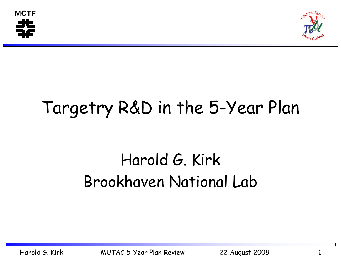



# Targetry R&D in the 5-Year Plan

## Harold G. Kirk Brookhaven National Lab

Harold G. Kirk MUTAC 5-Year Plan Review 22 August 2008 1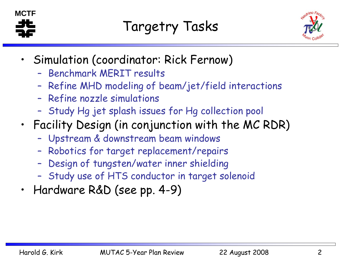



- • Simulation (coordinator: Rick Fernow)
	- Benchmark MERIT results
	- –Refine MHD modeling of beam/jet/field interactions
	- Refine nozzle simulations
	- –Study Hg jet splash issues for Hg collection pool
- • Facility Design (in conjunction with the MC RDR)
	- –Upstream & downstream beam windows
	- –Robotics for target replacement/repairs
	- –Design of tungsten/water inner shielding
	- –Study use of HTS conductor in target solenoid
- •Hardware R&D (see pp. 4-9)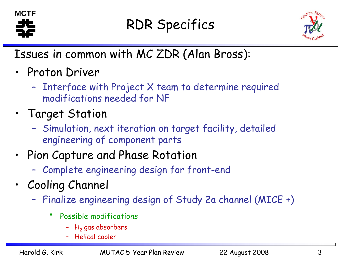

### RDR Specifics



Issues in common with MC ZDR (Alan Bross):

- Proton Driver
	- – Interface with Project X team to determine required modifications needed for NF
- Target Station
	- – Simulation, next iteration on target facility, detailed engineering of component parts
- • Pion Capture and Phase Rotation
	- –Complete engineering design for front-end
- • Cooling Channel
	- – Finalize engineering design of Study 2a channel (MICE +)
		- • Possible modifications
			- – $\mathsf{H}_\mathsf{2}$  gas absorbers
			- –Helical cooler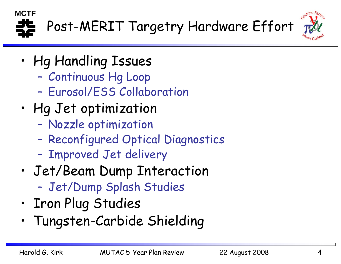



- • Hg Handling Issues
	- Continuous Hg Loop
	- –Eurosol/ESS Collaboration
- • Hg Jet optimization
	- Nozzle optimization
	- –Reconfigured Optical Diagnostics
	- –Improved Jet delivery
- • Jet/Beam Dump Interaction –Jet/Dump Splash Studies
- •Iron Plug Studies
- •Tungsten-Carbide Shielding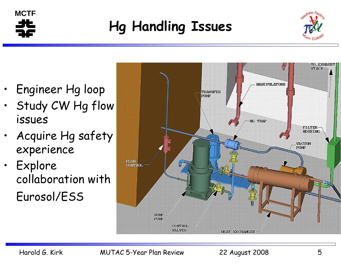

### **Hg Handling Issues**



- •Engineer Hg loop
- • Study CW Hg flow issues
- • Acquire Hg safety experience
- •**Explore** collaboration with Eurosol/ESS

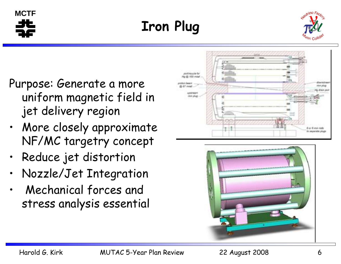**Iron Plug**

Purpose: Generate a more uniform magnetic field in jet delivery region

- • More closely approximate NF/MC targetry concep<sup>t</sup>
- •Reduce jet distortion
- •Nozzle/Jet Integration
- • Mechanical forces and stress analysis essential







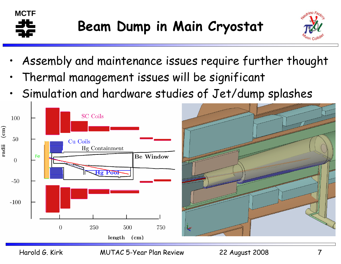



- •Assembly and maintenance issues require further thought
- •Thermal management issues will be significant
- •Simulation and hardware studies of Jet/dump splashes

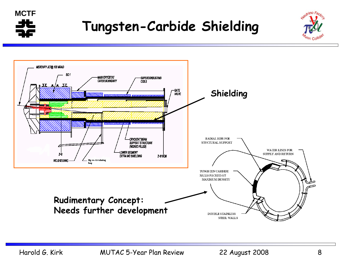

#### **Tungsten-Carbide Shielding**



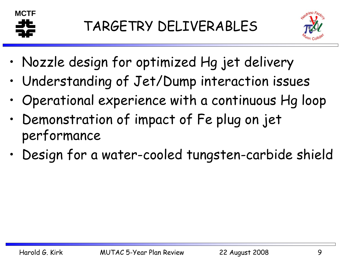



- •Nozzle design for optimized Hg jet delivery
- •Understanding of Jet/Dump interaction issues
- •Operational experience with a continuous Hg loop
- • Demonstration of impact of Fe plug on jet performance
- •Design for a water-cooled tungsten-carbide shield